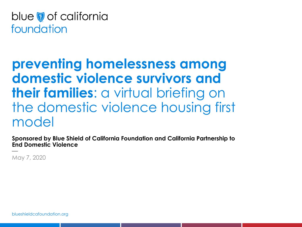blue of california foundation

# **preventing homelessness among domestic violence survivors and their families**: a virtual briefing on the domestic violence housing first model

**Sponsored by Blue Shield of California Foundation and California Partnership to End Domestic Violence**

May 7, 2020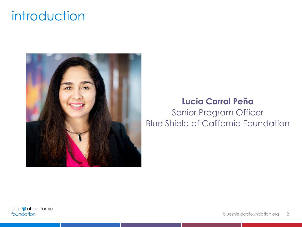# introduction



#### **Lucia Corral Peña** Senior Program Officer Blue Shield of California Foundation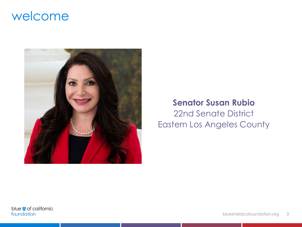### welcome



#### **Senator Susan Rubio** 22nd Senate District

Eastern Los Angeles County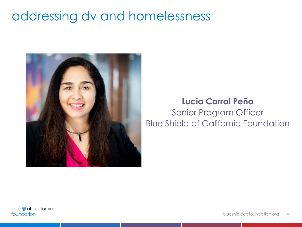# addressing dv and homelessness



#### **Lucia Corral Peña** Senior Program Officer Blue Shield of California Foundation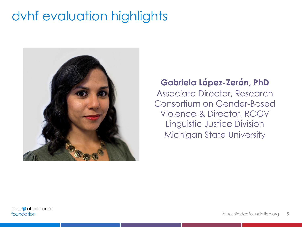# dvhf evaluation highlights



**Gabriela López-Zerón, PhD** Associate Director, Research Consortium on Gender-Based Violence & Director, RCGV Linguistic Justice Division Michigan State University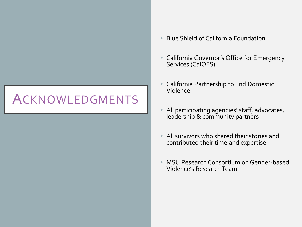# ACKNOWLEDGMENTS

- Blue Shield of California Foundation
- California Governor's Office for Emergency Services (CalOES)
- California Partnership to End Domestic Violence
- All participating agencies' staff, advocates, leadership & community partners
- All survivors who shared their stories and contributed their time and expertise
- MSU Research Consortium on Gender-based Violence's Research Team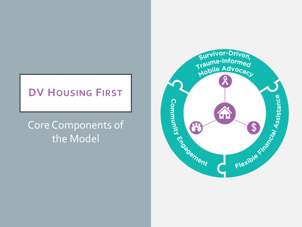#### **DV HOUSING FIRST**

### Core Components of the Model

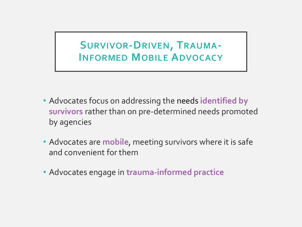#### **SURVIVOR-DRIVEN, TRAUMA-INFORMED MOBILE ADVOCACY**

- Advocates focus on addressing the needs **identified by survivors** rather than on pre-determined needs promoted by agencies
- Advocates are **mobile**, meeting survivors where it is safe and convenient for them
- Advocates engage in **trauma-informed practice**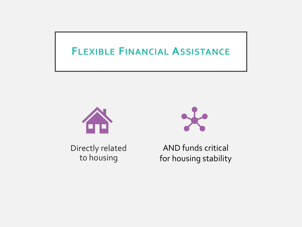#### **FLEXIBLE FINANCIAL ASSISTANCE**



Directly related to housing



AND funds critical for housing stability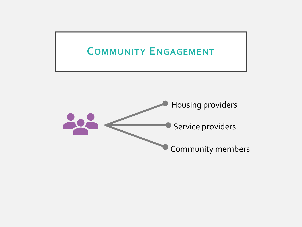### **COMMUNITY ENGAGEMENT**

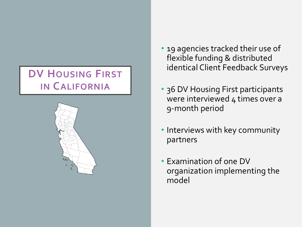### **DV HOUSING FIRST IN CALIFORNIA**



- 19 agencies tracked their use of flexible funding & distributed identical Client Feedback Surveys
- 36 DV Housing First participants were interviewed 4 times over a 9-month period
- Interviews with key community partners
- Examination of one DV organization implementing the model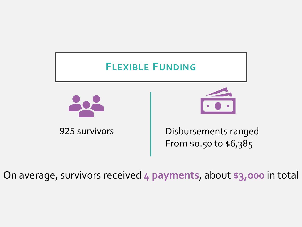

On average, survivors received **4 payments**, about **\$3,000** in total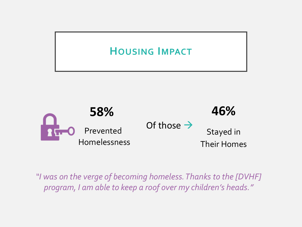### **HOUSING IMPACT**



*"I was on the verge of becoming homeless. Thanks to the [DVHF] program, I am able to keep a roof over my children's heads."*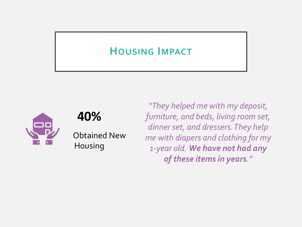#### **HOUSING IMPACT**



#### **40%**

Obtained New Housing

*"They helped me with my deposit, furniture, and beds, living room set, dinner set, and dressers. They help me with diapers and clothing for my 1-year old. We have not had any of these items in years."*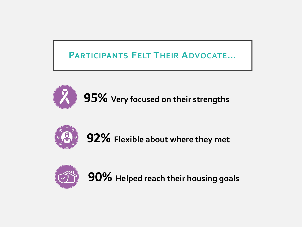#### **PARTICIPANTS FELT THEIR ADVOCATE…**





**92% Flexible about where they met**



**90% Helped reach their housing goals**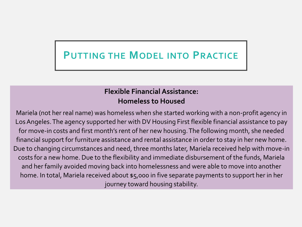### **PUTTING THE MODEL INTO PRACTICE**

#### **Flexible Financial Assistance: Homeless to Housed**

Mariela (not her real name) was homeless when she started working with a non-profit agency in Los Angeles. The agency supported her with DV Housing First flexible financial assistance to pay for move-in costs and first month's rent of her new housing. The following month, she needed financial support for furniture assistance and rental assistance in order to stay in her new home. Due to changing circumstances and need, three months later, Mariela received help with move-in costs for a new home. Due to the flexibility and immediate disbursement of the funds, Mariela and her family avoided moving back into homelessness and were able to move into another home. In total, Mariela received about \$5,000 in five separate payments to support her in her journey toward housing stability.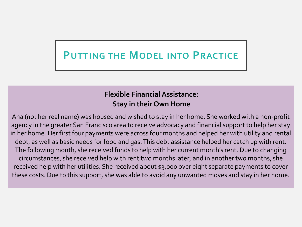### **PUTTING THE MODEL INTO PRACTICE**

#### **Flexible Financial Assistance: Stay in their Own Home**

Ana (not her real name) was housed and wished to stay in her home. She worked with a non-profit agency in the greater San Francisco area to receive advocacy and financial support to help her stay in her home. Her first four payments were across four months and helped her with utility and rental debt, as well as basic needs for food and gas. This debt assistance helped her catch up with rent. The following month, she received funds to help with her current month's rent. Due to changing circumstances, she received help with rent two months later; and in another two months, she received help with her utilities. She received about \$3,000 over eight separate payments to cover these costs. Due to this support, she was able to avoid any unwanted moves and stay in her home.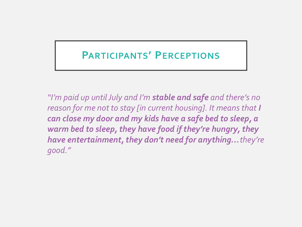#### **PARTICIPANTS' PERCEPTIONS**

*"I'm paid up until July and I'm stable and safe and there's no reason for me not to stay [in current housing]. It means that I can close my door and my kids have a safe bed to sleep, a warm bed to sleep, they have food if they're hungry, they have entertainment, they don't need for anything…they're good."*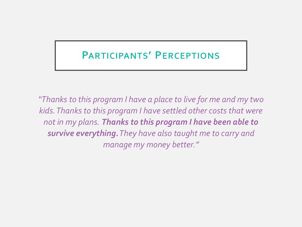#### **PARTICIPANTS' PERCEPTIONS**

*"Thanks to this program I have a place to live for me and my two kids. Thanks to this program I have settled other costs that were not in my plans. Thanks to this program I have been able to survive everything.They have also taught me to carry and manage my money better."*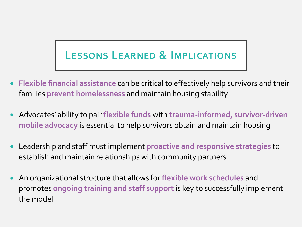# **LESSONS LEARNED & IMPLICATIONS**

- **Flexible financial assistance** can be critical to effectively help survivors and their families **prevent homelessness** and maintain housing stability
- Advocates' ability to pair **flexible funds** with **trauma-informed, survivor-driven mobile advocacy** is essential to help survivors obtain and maintain housing
- Leadership and staff must implement **proactive and responsive strategies** to establish and maintain relationships with community partners
- An organizational structure that allows for **flexible work schedules** and promotes **ongoing training and staff support** is key to successfully implement the model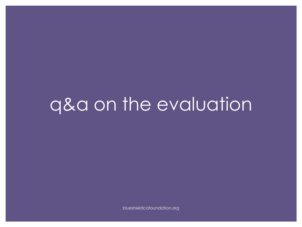# q&a on the evaluation

blueshieldcafoundation.org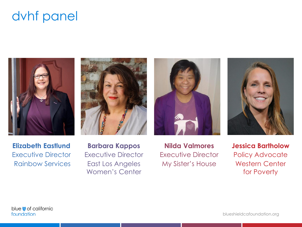# dvhf panel









**Elizabeth Eastlund** Executive Director Rainbow Services

**Barbara Kappos** Executive Director East Los Angeles Women's Center

**Nilda Valmores** Executive Director My Sister's House

**Jessica Bartholow** Policy Advocate Western Center for Poverty

blue of california foundation

blueshieldcafoundation.org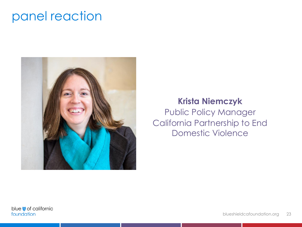### panel reaction



#### **Krista Niemczyk**

Public Policy Manager California Partnership to End Domestic Violence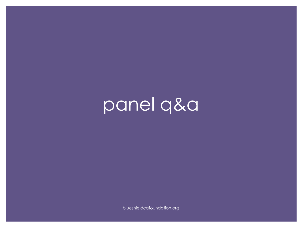panel q&a

blueshieldcafoundation.org